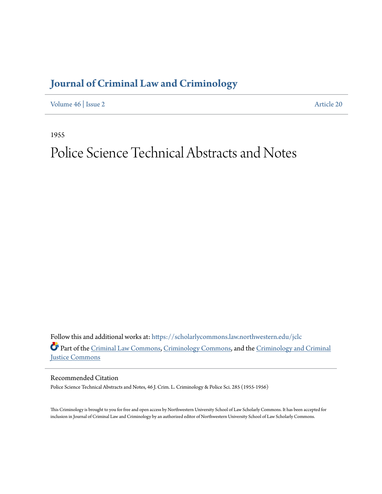## **[Journal of Criminal Law and Criminology](https://scholarlycommons.law.northwestern.edu/jclc?utm_source=scholarlycommons.law.northwestern.edu%2Fjclc%2Fvol46%2Fiss2%2F20&utm_medium=PDF&utm_campaign=PDFCoverPages)**

[Volume 46](https://scholarlycommons.law.northwestern.edu/jclc/vol46?utm_source=scholarlycommons.law.northwestern.edu%2Fjclc%2Fvol46%2Fiss2%2F20&utm_medium=PDF&utm_campaign=PDFCoverPages) | [Issue 2](https://scholarlycommons.law.northwestern.edu/jclc/vol46/iss2?utm_source=scholarlycommons.law.northwestern.edu%2Fjclc%2Fvol46%2Fiss2%2F20&utm_medium=PDF&utm_campaign=PDFCoverPages) [Article 20](https://scholarlycommons.law.northwestern.edu/jclc/vol46/iss2/20?utm_source=scholarlycommons.law.northwestern.edu%2Fjclc%2Fvol46%2Fiss2%2F20&utm_medium=PDF&utm_campaign=PDFCoverPages)

1955

## Police Science Technical Abstracts and Notes

Follow this and additional works at: [https://scholarlycommons.law.northwestern.edu/jclc](https://scholarlycommons.law.northwestern.edu/jclc?utm_source=scholarlycommons.law.northwestern.edu%2Fjclc%2Fvol46%2Fiss2%2F20&utm_medium=PDF&utm_campaign=PDFCoverPages) Part of the [Criminal Law Commons](http://network.bepress.com/hgg/discipline/912?utm_source=scholarlycommons.law.northwestern.edu%2Fjclc%2Fvol46%2Fiss2%2F20&utm_medium=PDF&utm_campaign=PDFCoverPages), [Criminology Commons](http://network.bepress.com/hgg/discipline/417?utm_source=scholarlycommons.law.northwestern.edu%2Fjclc%2Fvol46%2Fiss2%2F20&utm_medium=PDF&utm_campaign=PDFCoverPages), and the [Criminology and Criminal](http://network.bepress.com/hgg/discipline/367?utm_source=scholarlycommons.law.northwestern.edu%2Fjclc%2Fvol46%2Fiss2%2F20&utm_medium=PDF&utm_campaign=PDFCoverPages) [Justice Commons](http://network.bepress.com/hgg/discipline/367?utm_source=scholarlycommons.law.northwestern.edu%2Fjclc%2Fvol46%2Fiss2%2F20&utm_medium=PDF&utm_campaign=PDFCoverPages)

Recommended Citation

Police Science Technical Abstracts and Notes, 46 J. Crim. L. Criminology & Police Sci. 285 (1955-1956)

This Criminology is brought to you for free and open access by Northwestern University School of Law Scholarly Commons. It has been accepted for inclusion in Journal of Criminal Law and Criminology by an authorized editor of Northwestern University School of Law Scholarly Commons.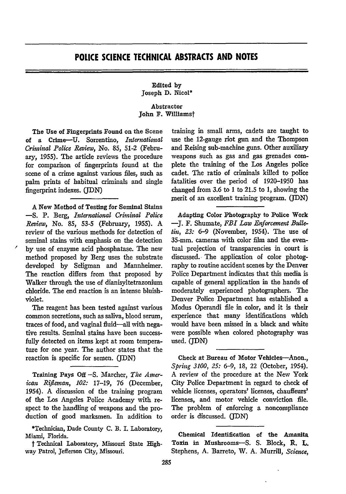## **POLICE SCIENCE TECHNICAL ABSTRACTS AND NOTES**

Edited **by** Joseph **D.** Nicol\*

Abstractor John **F.** Willlamst

The Use of Fingerprints Found on the Scene of a Crime-U. Sorrentino, *International Criminal Police Review,* No. **85, 51-2** (February, 1955). The article reviews the procedure for comparison of fingerprints found at the scene of a crime against various files, such as palm prints of habitual criminals and single fingerprint indexes. **(JDN)**

**A** New Method of Testing for Seminal Stains **-S.** P. Berg, *International Criminal Police Review,* No. 85, 53-5 (February, 1955). A review of the various methods for detection of seminal stains with emphasis on the detection **by** use of enzyme acid phosphatase. The new method proposed by Berg uses the substrate developed by Seligman and Mannheimer. The reaction differs from that proposed by Walker through the use of dianisvltetrazonium chloride. The end reaction is an intense bluishviolet.

The reagent has been tested against various common secretions, such as saliva, blood serum, traces of food, and vaginal fluid-all with negative results. Seminal stains have been successfully detected on items kept at room temperature for one year. The author states that the reaction is specific for semen. (JDN)

Training Pays Off **-S.** Marcher, *The Ainerican Rifleman, 102:* 17-19, 76 (December, 1954). A discussion of the training program of the Los Angeles Police Academy with respect to the handling of weapons and the production of good marksmen. In addition to

\*Technician, Dade County C. B. I. Laboratory, Miami, Florida.

t Technical Laboratory, Missouri State Highway Patrol, Jefferson City, Missouri.

training in small arms, cadets are taught to use the 12-gauge riot gun and the Thompson and Reising sub-machine guns. Other auxiliary weapons such as gas and gas grenades complete the training of the Los Angeles police cadet. The ratio of criminals killed to police fatalities over the period of 1920-1950 has changed from 3.6 to 1 to 21.5 to 1, showing the merit of an excellent training program. (JDN)

Adapting Color Photography to Police Work **-J.** F. Shumate, *FBI Law Enforcement Budletin, 23:* 6-9 (November, 1954). The use of 35-mm. cameras with color film and the eventual projection of transparencies in court is discussed. The application of color photography to routine accident scenes by the Denver Police Department indicates that this media is capable of general application in the hands of moderately experienced photographers. The Denver Police Department has established a Modus Operandi file in color, and it is their experience that many identifications which would have been missed in a black and white were possible when colored photography was used. **(JDN)**

Check at Bureau of Motor Vehicles-Anon., *Spring 3100, 25:* 6-9, **18,** 22 (October, 1954). A review of the procedure at the New York City Police Department in regard to check of vehicle licenses, operators' licenses, chauffeurs' licenses, and motor vehicle conviction file. The problem of enforcing a noncompliance order is discussed. (JDN)

Chemical Identification of the Amanita Toxin in Mushrooms-S. **S.** Block, R. L. Stephens, **A.** Barreto, W. **A.** Murrill, *Science,*